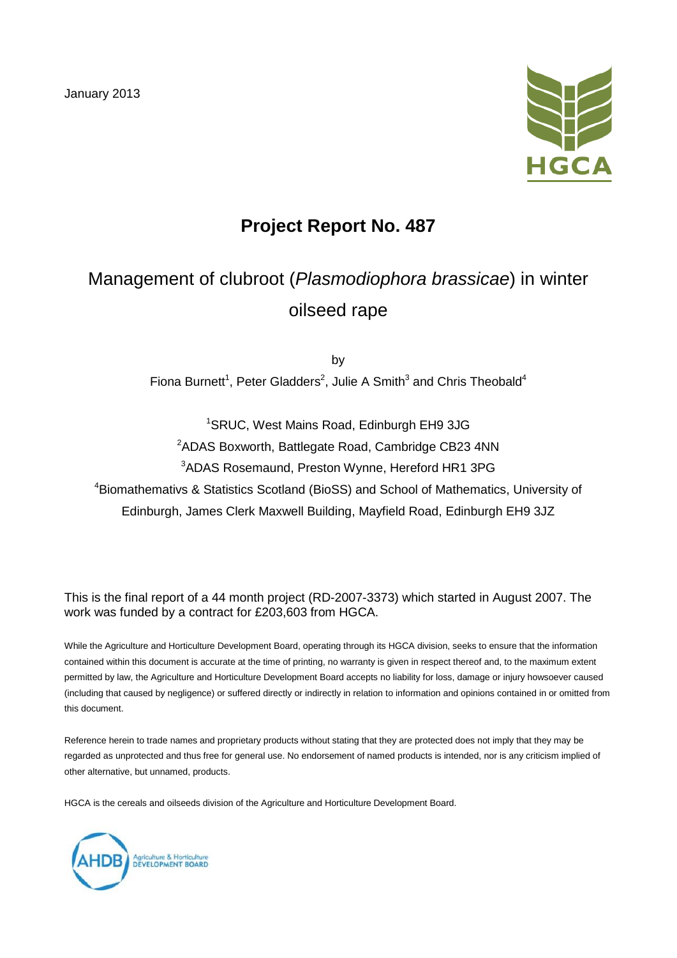January 2013



## **Project Report No. 487**

# Management of clubroot (*Plasmodiophora brassicae*) in winter oilseed rape

by Fiona Burnett<sup>1</sup>, Peter Gladders<sup>2</sup>, Julie A Smith<sup>3</sup> and Chris Theobald<sup>4</sup>

1 SRUC, West Mains Road, Edinburgh EH9 3JG 2 ADAS Boxworth, Battlegate Road, Cambridge CB23 4NN 3 ADAS Rosemaund, Preston Wynne, Hereford HR1 3PG <sup>4</sup>Biomathemativs & Statistics Scotland (BioSS) and School of Mathematics, University of Edinburgh, James Clerk Maxwell Building, Mayfield Road, Edinburgh EH9 3JZ

This is the final report of a 44 month project (RD-2007-3373) which started in August 2007. The work was funded by a contract for £203,603 from HGCA.

While the Agriculture and Horticulture Development Board, operating through its HGCA division, seeks to ensure that the information contained within this document is accurate at the time of printing, no warranty is given in respect thereof and, to the maximum extent permitted by law, the Agriculture and Horticulture Development Board accepts no liability for loss, damage or injury howsoever caused (including that caused by negligence) or suffered directly or indirectly in relation to information and opinions contained in or omitted from this document.

Reference herein to trade names and proprietary products without stating that they are protected does not imply that they may be regarded as unprotected and thus free for general use. No endorsement of named products is intended, nor is any criticism implied of other alternative, but unnamed, products.

HGCA is the cereals and oilseeds division of the Agriculture and Horticulture Development Board.

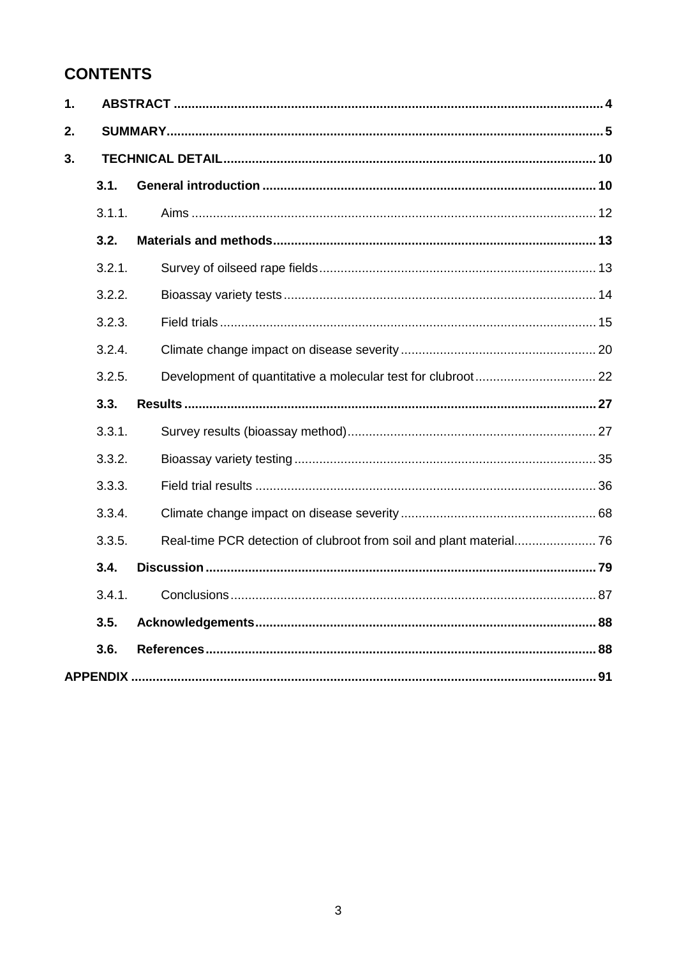## **CONTENTS**

| $\mathbf 1$ . |        |  |  |  |
|---------------|--------|--|--|--|
| 2.            |        |  |  |  |
| 3.            |        |  |  |  |
|               | 3.1.   |  |  |  |
|               | 3.1.1. |  |  |  |
|               | 3.2.   |  |  |  |
|               | 3.2.1. |  |  |  |
|               | 3.2.2. |  |  |  |
|               | 3.2.3. |  |  |  |
|               | 3.2.4. |  |  |  |
|               | 3.2.5. |  |  |  |
|               | 3.3.   |  |  |  |
|               | 3.3.1. |  |  |  |
|               | 3.3.2. |  |  |  |
|               | 3.3.3. |  |  |  |
|               | 3.3.4. |  |  |  |
|               | 3.3.5. |  |  |  |
|               | 3.4.   |  |  |  |
|               | 3.4.1. |  |  |  |
|               | 3.5.   |  |  |  |
|               | 3.6.   |  |  |  |
|               |        |  |  |  |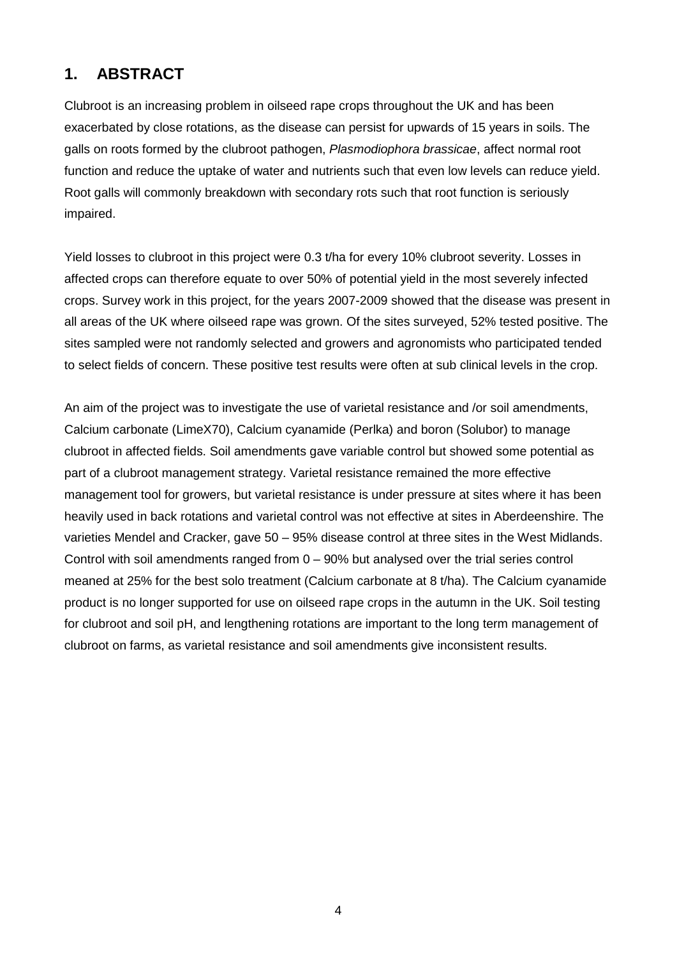#### **1. ABSTRACT**

Clubroot is an increasing problem in oilseed rape crops throughout the UK and has been exacerbated by close rotations, as the disease can persist for upwards of 15 years in soils. The galls on roots formed by the clubroot pathogen, *Plasmodiophora brassicae*, affect normal root function and reduce the uptake of water and nutrients such that even low levels can reduce yield. Root galls will commonly breakdown with secondary rots such that root function is seriously impaired.

Yield losses to clubroot in this project were 0.3 t/ha for every 10% clubroot severity. Losses in affected crops can therefore equate to over 50% of potential yield in the most severely infected crops. Survey work in this project, for the years 2007-2009 showed that the disease was present in all areas of the UK where oilseed rape was grown. Of the sites surveyed, 52% tested positive. The sites sampled were not randomly selected and growers and agronomists who participated tended to select fields of concern. These positive test results were often at sub clinical levels in the crop.

An aim of the project was to investigate the use of varietal resistance and /or soil amendments, Calcium carbonate (LimeX70), Calcium cyanamide (Perlka) and boron (Solubor) to manage clubroot in affected fields. Soil amendments gave variable control but showed some potential as part of a clubroot management strategy. Varietal resistance remained the more effective management tool for growers, but varietal resistance is under pressure at sites where it has been heavily used in back rotations and varietal control was not effective at sites in Aberdeenshire. The varieties Mendel and Cracker, gave 50 – 95% disease control at three sites in the West Midlands. Control with soil amendments ranged from 0 – 90% but analysed over the trial series control meaned at 25% for the best solo treatment (Calcium carbonate at 8 t/ha). The Calcium cyanamide product is no longer supported for use on oilseed rape crops in the autumn in the UK. Soil testing for clubroot and soil pH, and lengthening rotations are important to the long term management of clubroot on farms, as varietal resistance and soil amendments give inconsistent results.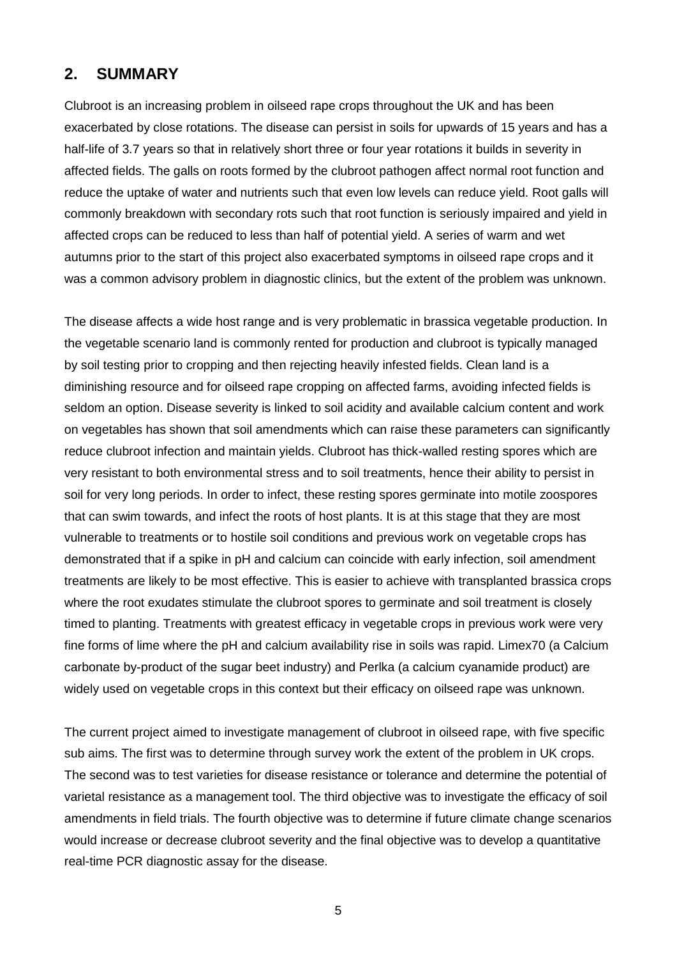#### **2. SUMMARY**

Clubroot is an increasing problem in oilseed rape crops throughout the UK and has been exacerbated by close rotations. The disease can persist in soils for upwards of 15 years and has a half-life of 3.7 years so that in relatively short three or four year rotations it builds in severity in affected fields. The galls on roots formed by the clubroot pathogen affect normal root function and reduce the uptake of water and nutrients such that even low levels can reduce yield. Root galls will commonly breakdown with secondary rots such that root function is seriously impaired and yield in affected crops can be reduced to less than half of potential yield. A series of warm and wet autumns prior to the start of this project also exacerbated symptoms in oilseed rape crops and it was a common advisory problem in diagnostic clinics, but the extent of the problem was unknown.

The disease affects a wide host range and is very problematic in brassica vegetable production. In the vegetable scenario land is commonly rented for production and clubroot is typically managed by soil testing prior to cropping and then rejecting heavily infested fields. Clean land is a diminishing resource and for oilseed rape cropping on affected farms, avoiding infected fields is seldom an option. Disease severity is linked to soil acidity and available calcium content and work on vegetables has shown that soil amendments which can raise these parameters can significantly reduce clubroot infection and maintain yields. Clubroot has thick-walled resting spores which are very resistant to both environmental stress and to soil treatments, hence their ability to persist in soil for very long periods. In order to infect, these resting spores germinate into motile zoospores that can swim towards, and infect the roots of host plants. It is at this stage that they are most vulnerable to treatments or to hostile soil conditions and previous work on vegetable crops has demonstrated that if a spike in pH and calcium can coincide with early infection, soil amendment treatments are likely to be most effective. This is easier to achieve with transplanted brassica crops where the root exudates stimulate the clubroot spores to germinate and soil treatment is closely timed to planting. Treatments with greatest efficacy in vegetable crops in previous work were very fine forms of lime where the pH and calcium availability rise in soils was rapid. Limex70 (a Calcium carbonate by-product of the sugar beet industry) and Perlka (a calcium cyanamide product) are widely used on vegetable crops in this context but their efficacy on oilseed rape was unknown.

The current project aimed to investigate management of clubroot in oilseed rape, with five specific sub aims. The first was to determine through survey work the extent of the problem in UK crops. The second was to test varieties for disease resistance or tolerance and determine the potential of varietal resistance as a management tool. The third objective was to investigate the efficacy of soil amendments in field trials. The fourth objective was to determine if future climate change scenarios would increase or decrease clubroot severity and the final objective was to develop a quantitative real-time PCR diagnostic assay for the disease.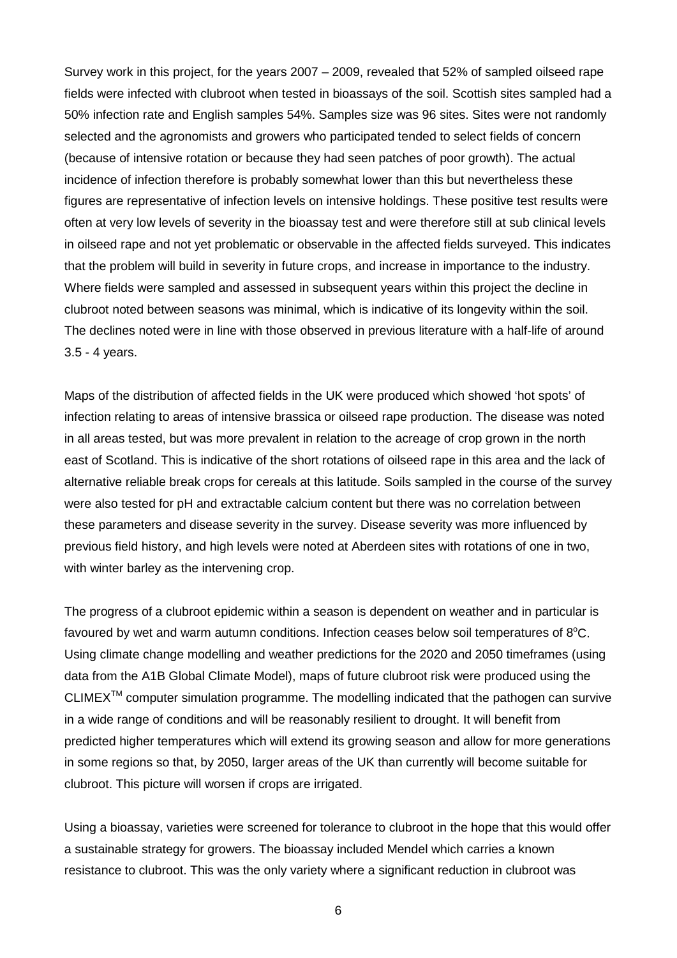Survey work in this project, for the years 2007 – 2009, revealed that 52% of sampled oilseed rape fields were infected with clubroot when tested in bioassays of the soil. Scottish sites sampled had a 50% infection rate and English samples 54%. Samples size was 96 sites. Sites were not randomly selected and the agronomists and growers who participated tended to select fields of concern (because of intensive rotation or because they had seen patches of poor growth). The actual incidence of infection therefore is probably somewhat lower than this but nevertheless these figures are representative of infection levels on intensive holdings. These positive test results were often at very low levels of severity in the bioassay test and were therefore still at sub clinical levels in oilseed rape and not yet problematic or observable in the affected fields surveyed. This indicates that the problem will build in severity in future crops, and increase in importance to the industry. Where fields were sampled and assessed in subsequent years within this project the decline in clubroot noted between seasons was minimal, which is indicative of its longevity within the soil. The declines noted were in line with those observed in previous literature with a half-life of around 3.5 - 4 years.

Maps of the distribution of affected fields in the UK were produced which showed 'hot spots' of infection relating to areas of intensive brassica or oilseed rape production. The disease was noted in all areas tested, but was more prevalent in relation to the acreage of crop grown in the north east of Scotland. This is indicative of the short rotations of oilseed rape in this area and the lack of alternative reliable break crops for cereals at this latitude. Soils sampled in the course of the survey were also tested for pH and extractable calcium content but there was no correlation between these parameters and disease severity in the survey. Disease severity was more influenced by previous field history, and high levels were noted at Aberdeen sites with rotations of one in two, with winter barley as the intervening crop.

The progress of a clubroot epidemic within a season is dependent on weather and in particular is favoured by wet and warm autumn conditions. Infection ceases below soil temperatures of  $8^{\circ}$ C. Using climate change modelling and weather predictions for the 2020 and 2050 timeframes (using data from the A1B Global Climate Model), maps of future clubroot risk were produced using the CLIMEX<sup>™</sup> computer simulation programme. The modelling indicated that the pathogen can survive in a wide range of conditions and will be reasonably resilient to drought. It will benefit from predicted higher temperatures which will extend its growing season and allow for more generations in some regions so that, by 2050, larger areas of the UK than currently will become suitable for clubroot. This picture will worsen if crops are irrigated.

Using a bioassay, varieties were screened for tolerance to clubroot in the hope that this would offer a sustainable strategy for growers. The bioassay included Mendel which carries a known resistance to clubroot. This was the only variety where a significant reduction in clubroot was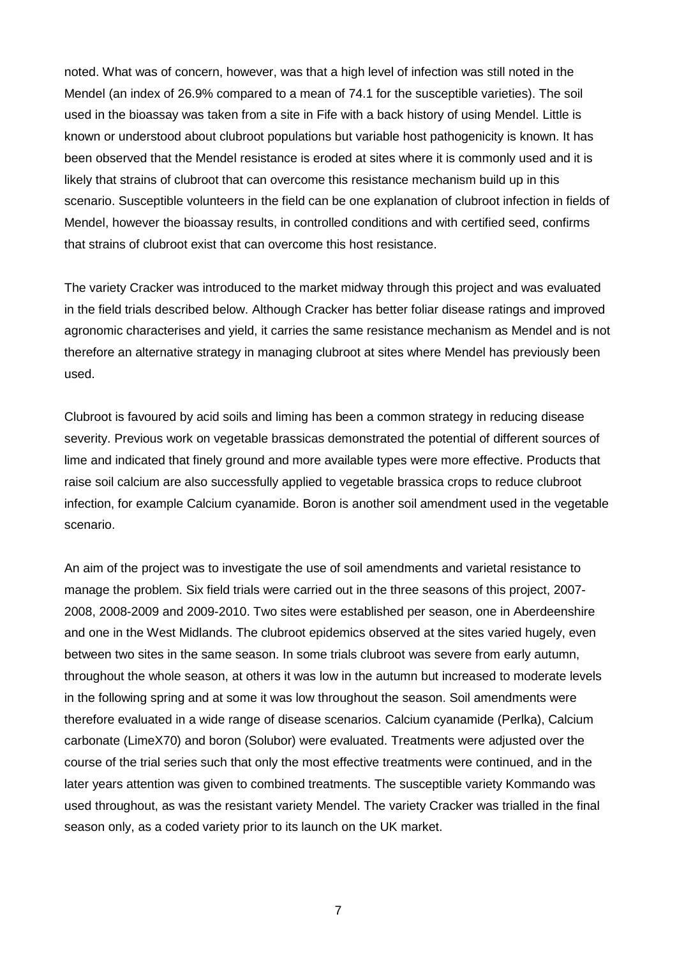noted. What was of concern, however, was that a high level of infection was still noted in the Mendel (an index of 26.9% compared to a mean of 74.1 for the susceptible varieties). The soil used in the bioassay was taken from a site in Fife with a back history of using Mendel. Little is known or understood about clubroot populations but variable host pathogenicity is known. It has been observed that the Mendel resistance is eroded at sites where it is commonly used and it is likely that strains of clubroot that can overcome this resistance mechanism build up in this scenario. Susceptible volunteers in the field can be one explanation of clubroot infection in fields of Mendel, however the bioassay results, in controlled conditions and with certified seed, confirms that strains of clubroot exist that can overcome this host resistance.

The variety Cracker was introduced to the market midway through this project and was evaluated in the field trials described below. Although Cracker has better foliar disease ratings and improved agronomic characterises and yield, it carries the same resistance mechanism as Mendel and is not therefore an alternative strategy in managing clubroot at sites where Mendel has previously been used.

Clubroot is favoured by acid soils and liming has been a common strategy in reducing disease severity. Previous work on vegetable brassicas demonstrated the potential of different sources of lime and indicated that finely ground and more available types were more effective. Products that raise soil calcium are also successfully applied to vegetable brassica crops to reduce clubroot infection, for example Calcium cyanamide. Boron is another soil amendment used in the vegetable scenario.

An aim of the project was to investigate the use of soil amendments and varietal resistance to manage the problem. Six field trials were carried out in the three seasons of this project, 2007- 2008, 2008-2009 and 2009-2010. Two sites were established per season, one in Aberdeenshire and one in the West Midlands. The clubroot epidemics observed at the sites varied hugely, even between two sites in the same season. In some trials clubroot was severe from early autumn, throughout the whole season, at others it was low in the autumn but increased to moderate levels in the following spring and at some it was low throughout the season. Soil amendments were therefore evaluated in a wide range of disease scenarios. Calcium cyanamide (Perlka), Calcium carbonate (LimeX70) and boron (Solubor) were evaluated. Treatments were adjusted over the course of the trial series such that only the most effective treatments were continued, and in the later years attention was given to combined treatments. The susceptible variety Kommando was used throughout, as was the resistant variety Mendel. The variety Cracker was trialled in the final season only, as a coded variety prior to its launch on the UK market.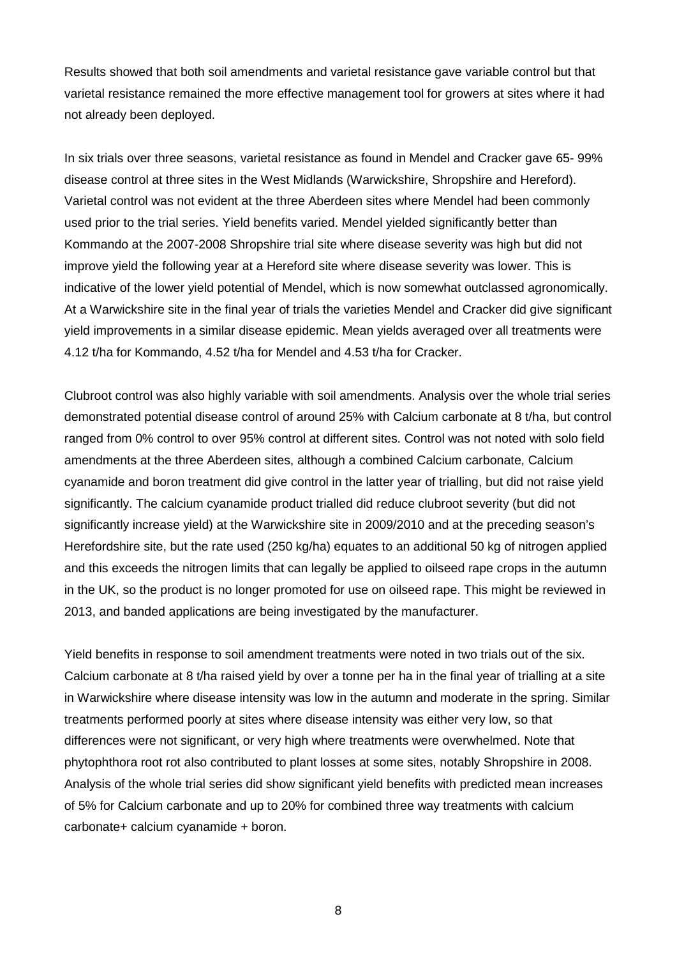Results showed that both soil amendments and varietal resistance gave variable control but that varietal resistance remained the more effective management tool for growers at sites where it had not already been deployed.

In six trials over three seasons, varietal resistance as found in Mendel and Cracker gave 65- 99% disease control at three sites in the West Midlands (Warwickshire, Shropshire and Hereford). Varietal control was not evident at the three Aberdeen sites where Mendel had been commonly used prior to the trial series. Yield benefits varied. Mendel yielded significantly better than Kommando at the 2007-2008 Shropshire trial site where disease severity was high but did not improve yield the following year at a Hereford site where disease severity was lower. This is indicative of the lower yield potential of Mendel, which is now somewhat outclassed agronomically. At a Warwickshire site in the final year of trials the varieties Mendel and Cracker did give significant yield improvements in a similar disease epidemic. Mean yields averaged over all treatments were 4.12 t/ha for Kommando, 4.52 t/ha for Mendel and 4.53 t/ha for Cracker.

Clubroot control was also highly variable with soil amendments. Analysis over the whole trial series demonstrated potential disease control of around 25% with Calcium carbonate at 8 t/ha, but control ranged from 0% control to over 95% control at different sites. Control was not noted with solo field amendments at the three Aberdeen sites, although a combined Calcium carbonate, Calcium cyanamide and boron treatment did give control in the latter year of trialling, but did not raise yield significantly. The calcium cyanamide product trialled did reduce clubroot severity (but did not significantly increase yield) at the Warwickshire site in 2009/2010 and at the preceding season's Herefordshire site, but the rate used (250 kg/ha) equates to an additional 50 kg of nitrogen applied and this exceeds the nitrogen limits that can legally be applied to oilseed rape crops in the autumn in the UK, so the product is no longer promoted for use on oilseed rape. This might be reviewed in 2013, and banded applications are being investigated by the manufacturer.

Yield benefits in response to soil amendment treatments were noted in two trials out of the six. Calcium carbonate at 8 t/ha raised yield by over a tonne per ha in the final year of trialling at a site in Warwickshire where disease intensity was low in the autumn and moderate in the spring. Similar treatments performed poorly at sites where disease intensity was either very low, so that differences were not significant, or very high where treatments were overwhelmed. Note that phytophthora root rot also contributed to plant losses at some sites, notably Shropshire in 2008. Analysis of the whole trial series did show significant yield benefits with predicted mean increases of 5% for Calcium carbonate and up to 20% for combined three way treatments with calcium carbonate+ calcium cyanamide + boron.